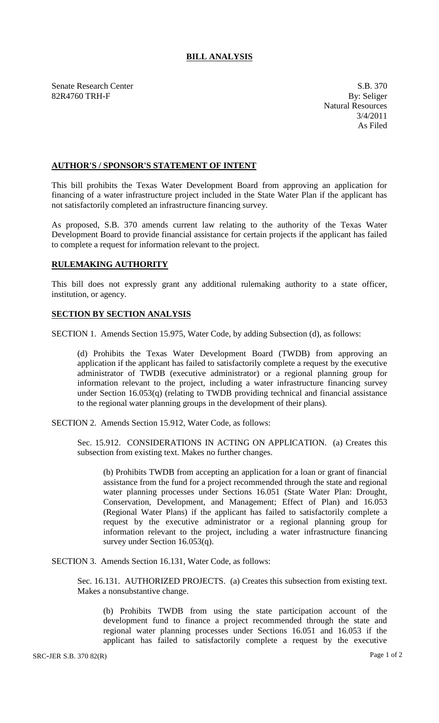## **BILL ANALYSIS**

Senate Research Center S.B. 370 82R4760 TRH-F By: Seliger

Natural Resources 3/4/2011 As Filed

## **AUTHOR'S / SPONSOR'S STATEMENT OF INTENT**

This bill prohibits the Texas Water Development Board from approving an application for financing of a water infrastructure project included in the State Water Plan if the applicant has not satisfactorily completed an infrastructure financing survey.

As proposed, S.B. 370 amends current law relating to the authority of the Texas Water Development Board to provide financial assistance for certain projects if the applicant has failed to complete a request for information relevant to the project.

## **RULEMAKING AUTHORITY**

This bill does not expressly grant any additional rulemaking authority to a state officer, institution, or agency.

## **SECTION BY SECTION ANALYSIS**

SECTION 1. Amends Section 15.975, Water Code, by adding Subsection (d), as follows:

(d) Prohibits the Texas Water Development Board (TWDB) from approving an application if the applicant has failed to satisfactorily complete a request by the executive administrator of TWDB (executive administrator) or a regional planning group for information relevant to the project, including a water infrastructure financing survey under Section 16.053(q) (relating to TWDB providing technical and financial assistance to the regional water planning groups in the development of their plans).

SECTION 2. Amends Section 15.912, Water Code, as follows:

Sec. 15.912. CONSIDERATIONS IN ACTING ON APPLICATION. (a) Creates this subsection from existing text. Makes no further changes.

(b) Prohibits TWDB from accepting an application for a loan or grant of financial assistance from the fund for a project recommended through the state and regional water planning processes under Sections 16.051 (State Water Plan: Drought, Conservation, Development, and Management; Effect of Plan) and 16.053 (Regional Water Plans) if the applicant has failed to satisfactorily complete a request by the executive administrator or a regional planning group for information relevant to the project, including a water infrastructure financing survey under Section 16.053(q).

SECTION 3. Amends Section 16.131, Water Code, as follows:

Sec. 16.131. AUTHORIZED PROJECTS. (a) Creates this subsection from existing text. Makes a nonsubstantive change.

(b) Prohibits TWDB from using the state participation account of the development fund to finance a project recommended through the state and regional water planning processes under Sections 16.051 and 16.053 if the applicant has failed to satisfactorily complete a request by the executive